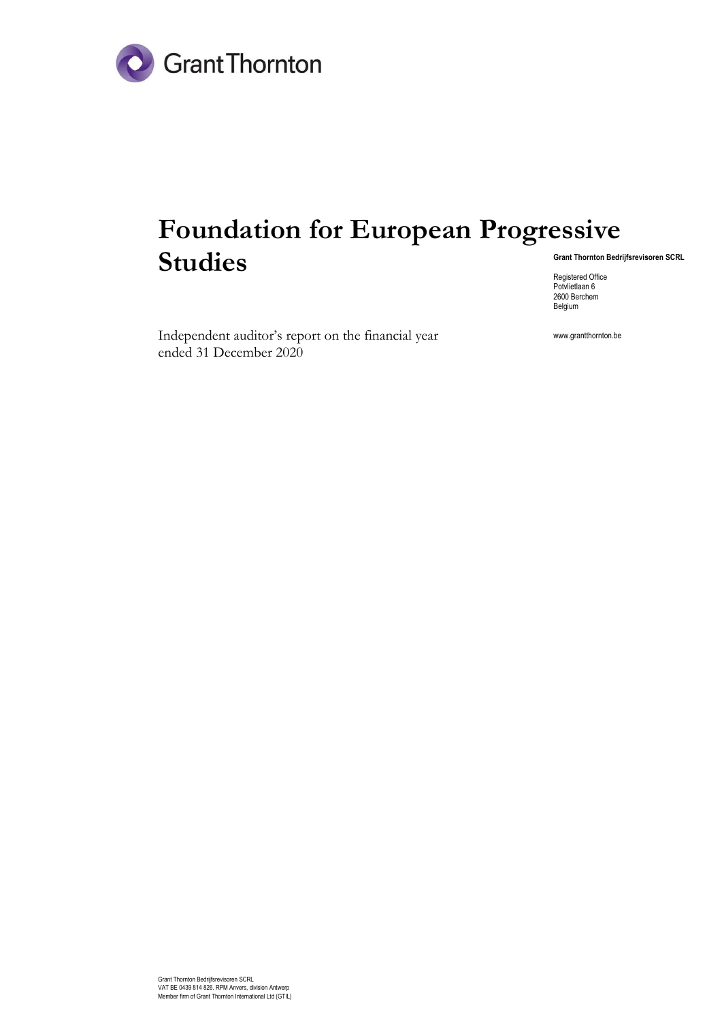

## **Foundation for European Progressive Studies**

**Grant Thornton Bedrijfsrevisoren SCRL**

Registered Office Potvlietlaan 6 2600 Berchem Belgium

Independent auditor's report on the financial year ended 31 December 2020

www.grantthornton.be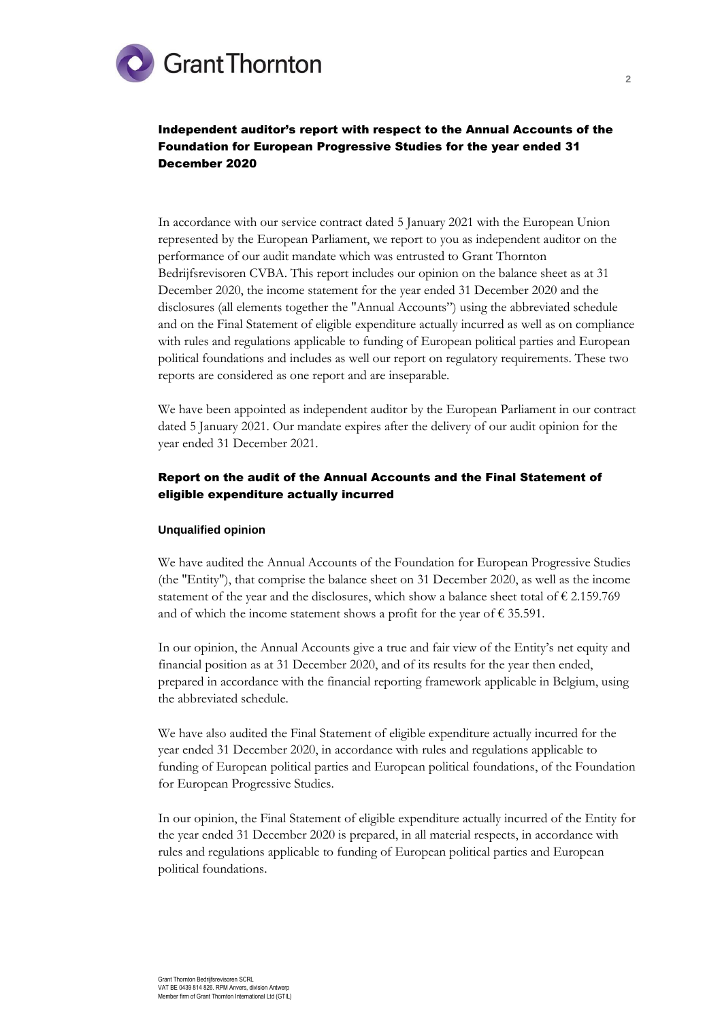# **Grant Thornton**

#### Independent auditor's report with respect to the Annual Accounts of the Foundation for European Progressive Studies for the year ended 31 December 2020

In accordance with our service contract dated 5 January 2021 with the European Union represented by the European Parliament, we report to you as independent auditor on the performance of our audit mandate which was entrusted to Grant Thornton Bedrijfsrevisoren CVBA. This report includes our opinion on the balance sheet as at 31 December 2020, the income statement for the year ended 31 December 2020 and the disclosures (all elements together the "Annual Accounts") using the abbreviated schedule and on the Final Statement of eligible expenditure actually incurred as well as on compliance with rules and regulations applicable to funding of European political parties and European political foundations and includes as well our report on regulatory requirements. These two reports are considered as one report and are inseparable.

We have been appointed as independent auditor by the European Parliament in our contract dated 5 January 2021. Our mandate expires after the delivery of our audit opinion for the year ended 31 December 2021.

#### Report on the audit of the Annual Accounts and the Final Statement of eligible expenditure actually incurred

#### **Unqualified opinion**

We have audited the Annual Accounts of the Foundation for European Progressive Studies (the "Entity"), that comprise the balance sheet on 31 December 2020, as well as the income statement of the year and the disclosures, which show a balance sheet total of  $\epsilon$  2.159.769 and of which the income statement shows a profit for the year of  $\epsilon$  35.591.

In our opinion, the Annual Accounts give a true and fair view of the Entity's net equity and financial position as at 31 December 2020, and of its results for the year then ended, prepared in accordance with the financial reporting framework applicable in Belgium, using the abbreviated schedule.

We have also audited the Final Statement of eligible expenditure actually incurred for the year ended 31 December 2020, in accordance with rules and regulations applicable to funding of European political parties and European political foundations, of the Foundation for European Progressive Studies.

In our opinion, the Final Statement of eligible expenditure actually incurred of the Entity for the year ended 31 December 2020 is prepared, in all material respects, in accordance with rules and regulations applicable to funding of European political parties and European political foundations.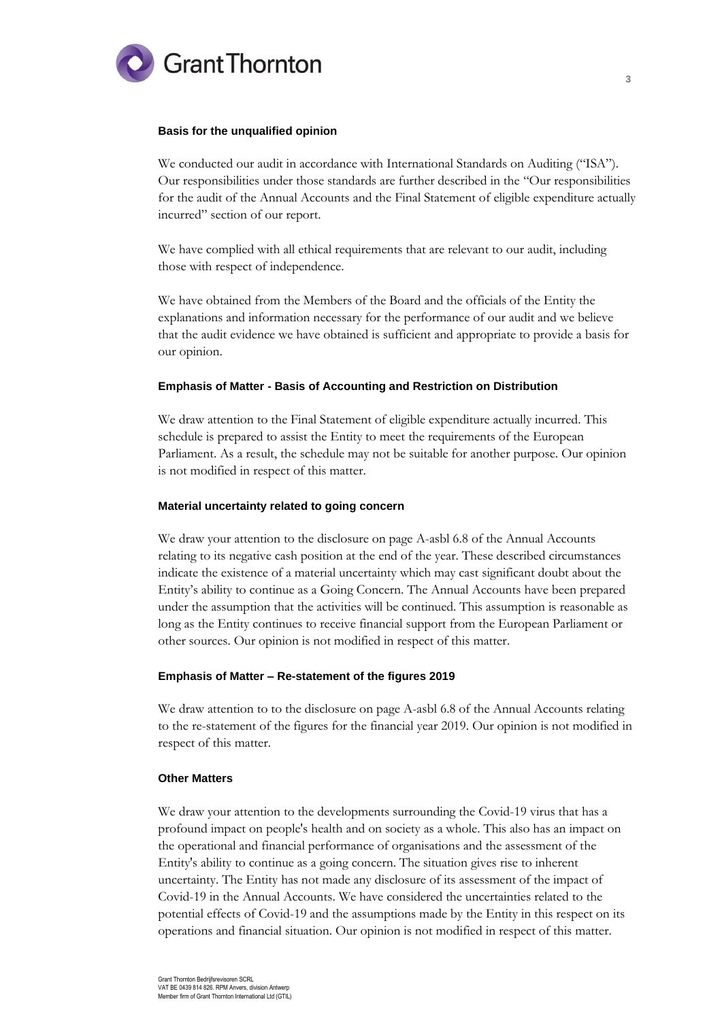

#### **Basis for the unqualified opinion**

We conducted our audit in accordance with International Standards on Auditing ("ISA"). Our responsibilities under those standards are further described in the "Our responsibilities for the audit of the Annual Accounts and the Final Statement of eligible expenditure actually incurred" section of our report.

We have complied with all ethical requirements that are relevant to our audit, including those with respect of independence.

We have obtained from the Members of the Board and the officials of the Entity the explanations and information necessary for the performance of our audit and we believe that the audit evidence we have obtained is sufficient and appropriate to provide a basis for our opinion.

#### **Emphasis of Matter - Basis of Accounting and Restriction on Distribution**

We draw attention to the Final Statement of eligible expenditure actually incurred. This schedule is prepared to assist the Entity to meet the requirements of the European Parliament. As a result, the schedule may not be suitable for another purpose. Our opinion is not modified in respect of this matter.

#### **Material uncertainty related to going concern**

We draw your attention to the disclosure on page A-asbl 6.8 of the Annual Accounts relating to its negative cash position at the end of the year. These described circumstances indicate the existence of a material uncertainty which may cast significant doubt about the Entity's ability to continue as a Going Concern. The Annual Accounts have been prepared under the assumption that the activities will be continued. This assumption is reasonable as long as the Entity continues to receive financial support from the European Parliament or other sources. Our opinion is not modified in respect of this matter.

#### **Emphasis of Matter – Re-statement of the figures 2019**

We draw attention to to the disclosure on page A-asbl 6.8 of the Annual Accounts relating to the re-statement of the figures for the financial year 2019. Our opinion is not modified in respect of this matter.

#### **Other Matters**

We draw your attention to the developments surrounding the Covid-19 virus that has a profound impact on people's health and on society as a whole. This also has an impact on the operational and financial performance of organisations and the assessment of the Entity's ability to continue as a going concern. The situation gives rise to inherent uncertainty. The Entity has not made any disclosure of its assessment of the impact of Covid-19 in the Annual Accounts. We have considered the uncertainties related to the potential effects of Covid-19 and the assumptions made by the Entity in this respect on its operations and financial situation. Our opinion is not modified in respect of this matter.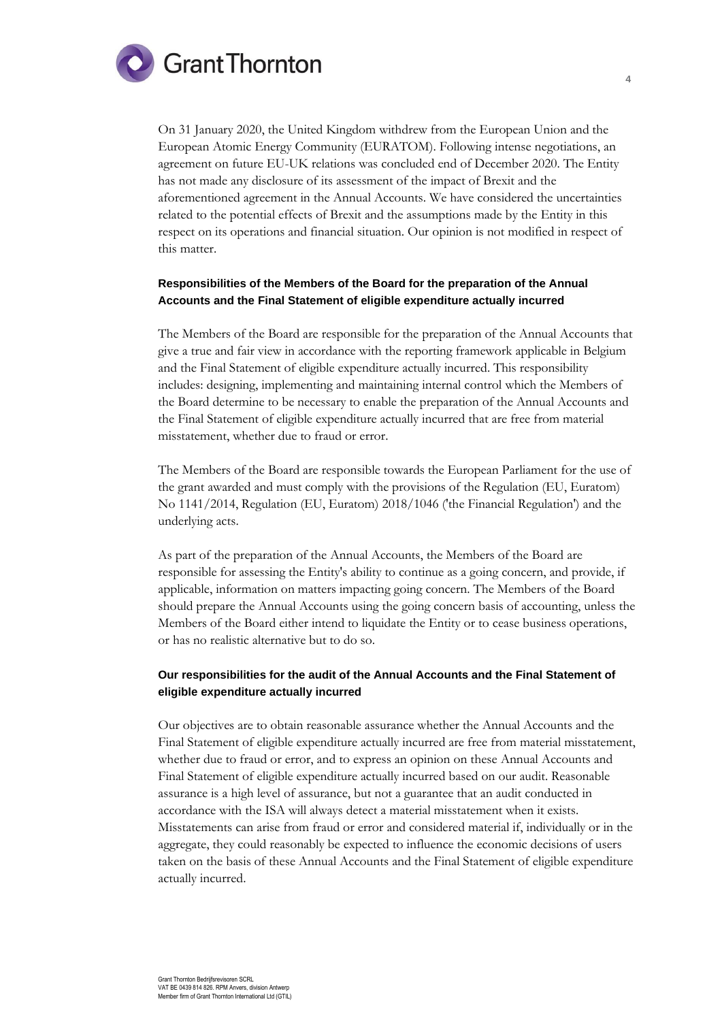

On 31 January 2020, the United Kingdom withdrew from the European Union and the European Atomic Energy Community (EURATOM). Following intense negotiations, an agreement on future EU-UK relations was concluded end of December 2020. The Entity has not made any disclosure of its assessment of the impact of Brexit and the aforementioned agreement in the Annual Accounts. We have considered the uncertainties related to the potential effects of Brexit and the assumptions made by the Entity in this respect on its operations and financial situation. Our opinion is not modified in respect of this matter.

#### **Responsibilities of the Members of the Board for the preparation of the Annual Accounts and the Final Statement of eligible expenditure actually incurred**

The Members of the Board are responsible for the preparation of the Annual Accounts that give a true and fair view in accordance with the reporting framework applicable in Belgium and the Final Statement of eligible expenditure actually incurred. This responsibility includes: designing, implementing and maintaining internal control which the Members of the Board determine to be necessary to enable the preparation of the Annual Accounts and the Final Statement of eligible expenditure actually incurred that are free from material misstatement, whether due to fraud or error.

The Members of the Board are responsible towards the European Parliament for the use of the grant awarded and must comply with the provisions of the Regulation (EU, Euratom) No 1141/2014, Regulation (EU, Euratom) 2018/1046 ('the Financial Regulation') and the underlying acts.

As part of the preparation of the Annual Accounts, the Members of the Board are responsible for assessing the Entity's ability to continue as a going concern, and provide, if applicable, information on matters impacting going concern. The Members of the Board should prepare the Annual Accounts using the going concern basis of accounting, unless the Members of the Board either intend to liquidate the Entity or to cease business operations, or has no realistic alternative but to do so.

#### **Our responsibilities for the audit of the Annual Accounts and the Final Statement of eligible expenditure actually incurred**

Our objectives are to obtain reasonable assurance whether the Annual Accounts and the Final Statement of eligible expenditure actually incurred are free from material misstatement, whether due to fraud or error, and to express an opinion on these Annual Accounts and Final Statement of eligible expenditure actually incurred based on our audit. Reasonable assurance is a high level of assurance, but not a guarantee that an audit conducted in accordance with the ISA will always detect a material misstatement when it exists. Misstatements can arise from fraud or error and considered material if, individually or in the aggregate, they could reasonably be expected to influence the economic decisions of users taken on the basis of these Annual Accounts and the Final Statement of eligible expenditure actually incurred.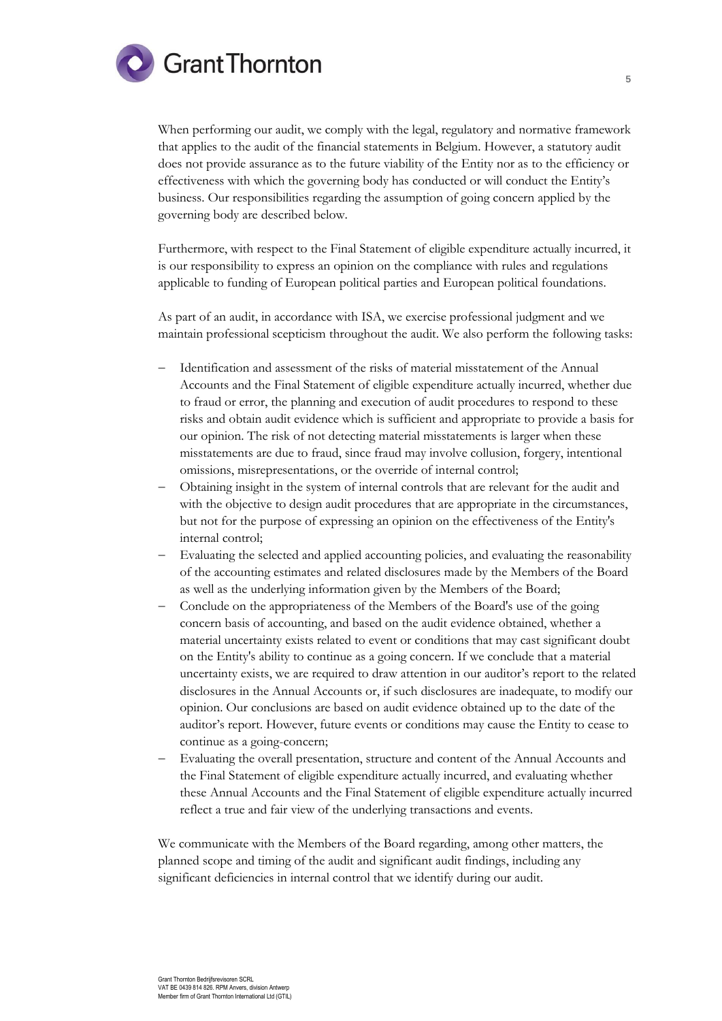

When performing our audit, we comply with the legal, regulatory and normative framework that applies to the audit of the financial statements in Belgium. However, a statutory audit does not provide assurance as to the future viability of the Entity nor as to the efficiency or effectiveness with which the governing body has conducted or will conduct the Entity's business. Our responsibilities regarding the assumption of going concern applied by the governing body are described below.

Furthermore, with respect to the Final Statement of eligible expenditure actually incurred, it is our responsibility to express an opinion on the compliance with rules and regulations applicable to funding of European political parties and European political foundations.

As part of an audit, in accordance with ISA, we exercise professional judgment and we maintain professional scepticism throughout the audit. We also perform the following tasks:

- − Identification and assessment of the risks of material misstatement of the Annual Accounts and the Final Statement of eligible expenditure actually incurred, whether due to fraud or error, the planning and execution of audit procedures to respond to these risks and obtain audit evidence which is sufficient and appropriate to provide a basis for our opinion. The risk of not detecting material misstatements is larger when these misstatements are due to fraud, since fraud may involve collusion, forgery, intentional omissions, misrepresentations, or the override of internal control;
- − Obtaining insight in the system of internal controls that are relevant for the audit and with the objective to design audit procedures that are appropriate in the circumstances, but not for the purpose of expressing an opinion on the effectiveness of the Entity's internal control;
- Evaluating the selected and applied accounting policies, and evaluating the reasonability of the accounting estimates and related disclosures made by the Members of the Board as well as the underlying information given by the Members of the Board;
- − Conclude on the appropriateness of the Members of the Board's use of the going concern basis of accounting, and based on the audit evidence obtained, whether a material uncertainty exists related to event or conditions that may cast significant doubt on the Entity's ability to continue as a going concern. If we conclude that a material uncertainty exists, we are required to draw attention in our auditor's report to the related disclosures in the Annual Accounts or, if such disclosures are inadequate, to modify our opinion. Our conclusions are based on audit evidence obtained up to the date of the auditor's report. However, future events or conditions may cause the Entity to cease to continue as a going-concern;
- Evaluating the overall presentation, structure and content of the Annual Accounts and the Final Statement of eligible expenditure actually incurred, and evaluating whether these Annual Accounts and the Final Statement of eligible expenditure actually incurred reflect a true and fair view of the underlying transactions and events.

We communicate with the Members of the Board regarding, among other matters, the planned scope and timing of the audit and significant audit findings, including any significant deficiencies in internal control that we identify during our audit.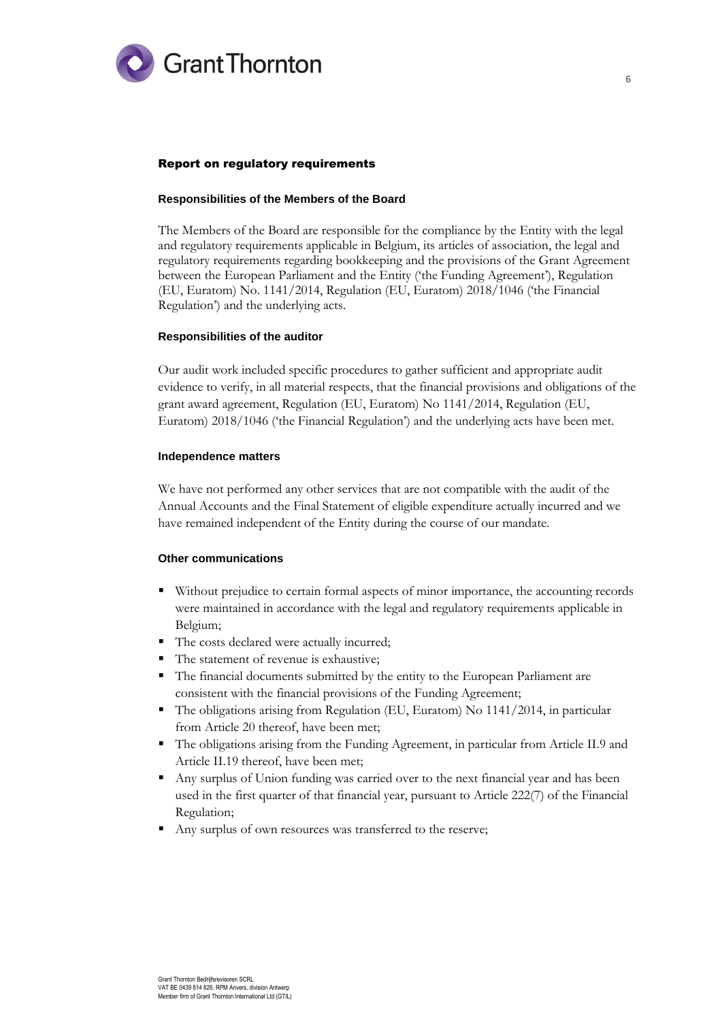

#### Report on regulatory requirements

#### **Responsibilities of the Members of the Board**

The Members of the Board are responsible for the compliance by the Entity with the legal and regulatory requirements applicable in Belgium, its articles of association, the legal and regulatory requirements regarding bookkeeping and the provisions of the Grant Agreement between the European Parliament and the Entity ('the Funding Agreement'), Regulation (EU, Euratom) No. 1141/2014, Regulation (EU, Euratom) 2018/1046 ('the Financial Regulation') and the underlying acts.

#### **Responsibilities of the auditor**

Our audit work included specific procedures to gather sufficient and appropriate audit evidence to verify, in all material respects, that the financial provisions and obligations of the grant award agreement, Regulation (EU, Euratom) No 1141/2014, Regulation (EU, Euratom) 2018/1046 ('the Financial Regulation') and the underlying acts have been met.

#### **Independence matters**

We have not performed any other services that are not compatible with the audit of the Annual Accounts and the Final Statement of eligible expenditure actually incurred and we have remained independent of the Entity during the course of our mandate.

#### **Other communications**

- Without prejudice to certain formal aspects of minor importance, the accounting records were maintained in accordance with the legal and regulatory requirements applicable in Belgium;
- The costs declared were actually incurred;
- The statement of revenue is exhaustive;
- The financial documents submitted by the entity to the European Parliament are consistent with the financial provisions of the Funding Agreement;
- The obligations arising from Regulation (EU, Euratom) No 1141/2014, in particular from Article 20 thereof, have been met;
- The obligations arising from the Funding Agreement, in particular from Article II.9 and Article II.19 thereof, have been met;
- Any surplus of Union funding was carried over to the next financial year and has been used in the first quarter of that financial year, pursuant to Article 222(7) of the Financial Regulation;
- Any surplus of own resources was transferred to the reserve;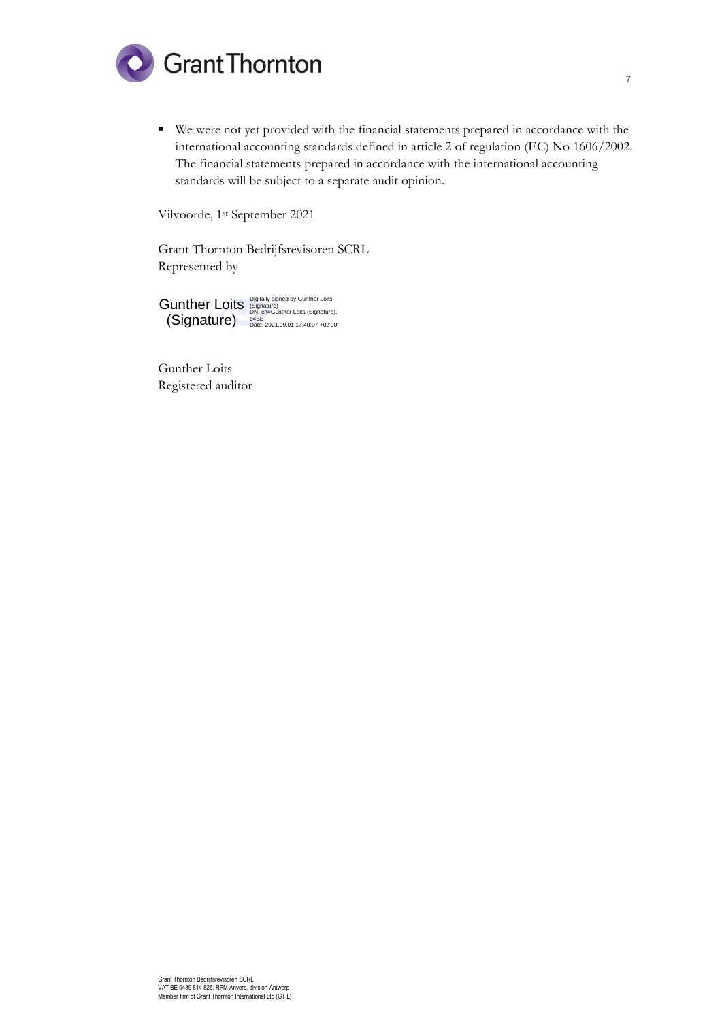

▪ We were not yet provided with the financial statements prepared in accordance with the international accounting standards defined in article 2 of regulation (EC) No 1606/2002. The financial statements prepared in accordance with the international accounting standards will be subject to a separate audit opinion.

Vilvoorde, 1st September 2021

Grant Thornton Bedrijfsrevisoren SCRL Represented by



Gunther Loits Registered auditor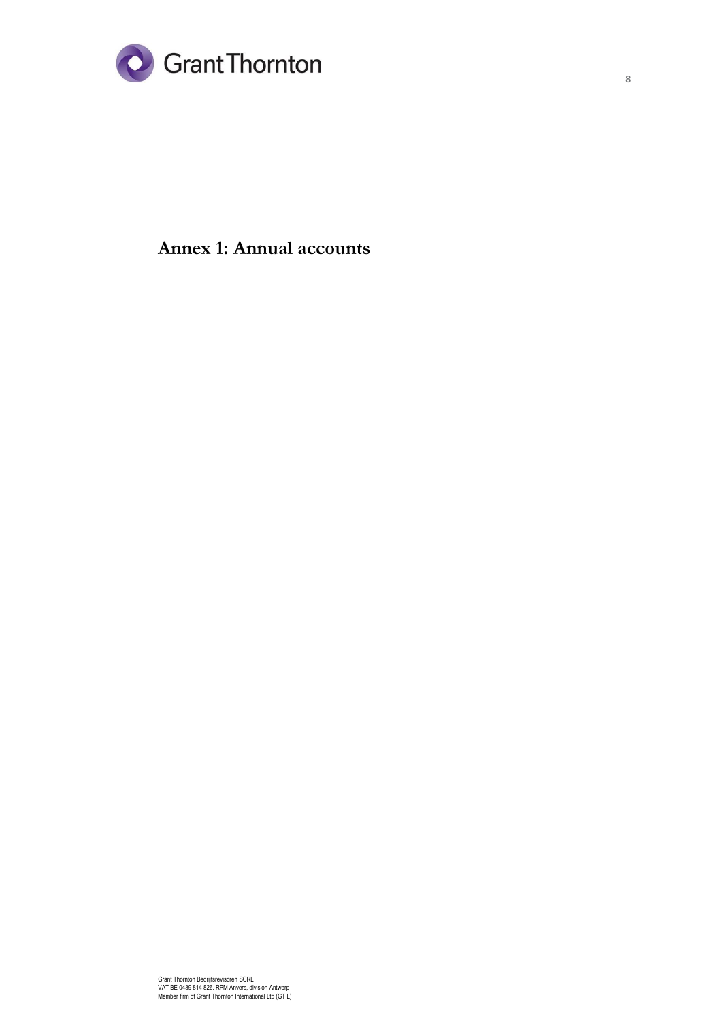

**Annex 1: Annual accounts**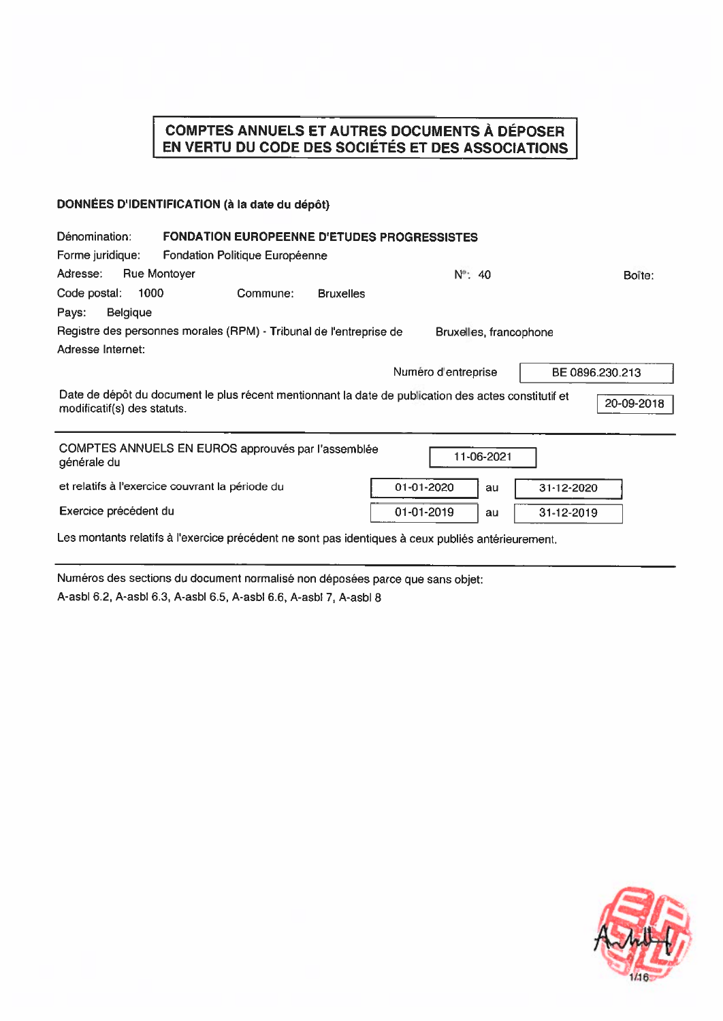## **COMPTES ANNUELS ET AUTRES DOCUMENTS À DÉPOSER** EN VERTU DU CODE DES SOCIÉTÉS ET DES ASSOCIATIONS

#### DONNÉES D'IDENTIFICATION (à la date du dépôt)

| Dénomination:                   | <b>FONDATION EUROPEENNE D'ETUDES PROGRESSISTES</b>                                                   |                  |                        |            |                 |
|---------------------------------|------------------------------------------------------------------------------------------------------|------------------|------------------------|------------|-----------------|
| Forme juridique:                | Fondation Politique Européenne                                                                       |                  |                        |            |                 |
| Adresse:<br><b>Rue Montoyer</b> |                                                                                                      |                  | $N^{\circ}$ : 40       |            | Boîte:          |
| Code postal:<br>1000            | Commune:                                                                                             | <b>Bruxelles</b> |                        |            |                 |
| Belgique<br>Pays:               |                                                                                                      |                  |                        |            |                 |
|                                 | Registre des personnes morales (RPM) - Tribunal de l'entreprise de                                   |                  | Bruxelles, francophone |            |                 |
| Adresse Internet:               |                                                                                                      |                  |                        |            |                 |
|                                 |                                                                                                      |                  | Numéro d'entreprise    |            | BE 0896.230.213 |
| modificatif(s) des statuts.     | Date de dépôt du document le plus récent mentionnant la date de publication des actes constitutif et |                  |                        |            | 20-09-2018      |
| générale du                     | COMPTES ANNUELS EN EUROS approuvés par l'assemblée                                                   |                  | 11-06-2021             |            |                 |
|                                 | et relatifs à l'exercice couvrant la période du                                                      |                  | 01-01-2020<br>au       | 31-12-2020 |                 |
| Exercice précédent du           |                                                                                                      |                  | 01-01-2019<br>au       | 31-12-2019 |                 |
|                                 | Les montants relatifs à l'exercice précédent ne sont pas identiques à ceux publiés antérieurement.   |                  |                        |            |                 |

Numéros des sections du document normalisé non déposées parce que sans objet: A-asbl 6.2, A-asbl 6.3, A-asbl 6.5, A-asbl 6.6, A-asbl 7, A-asbl 8

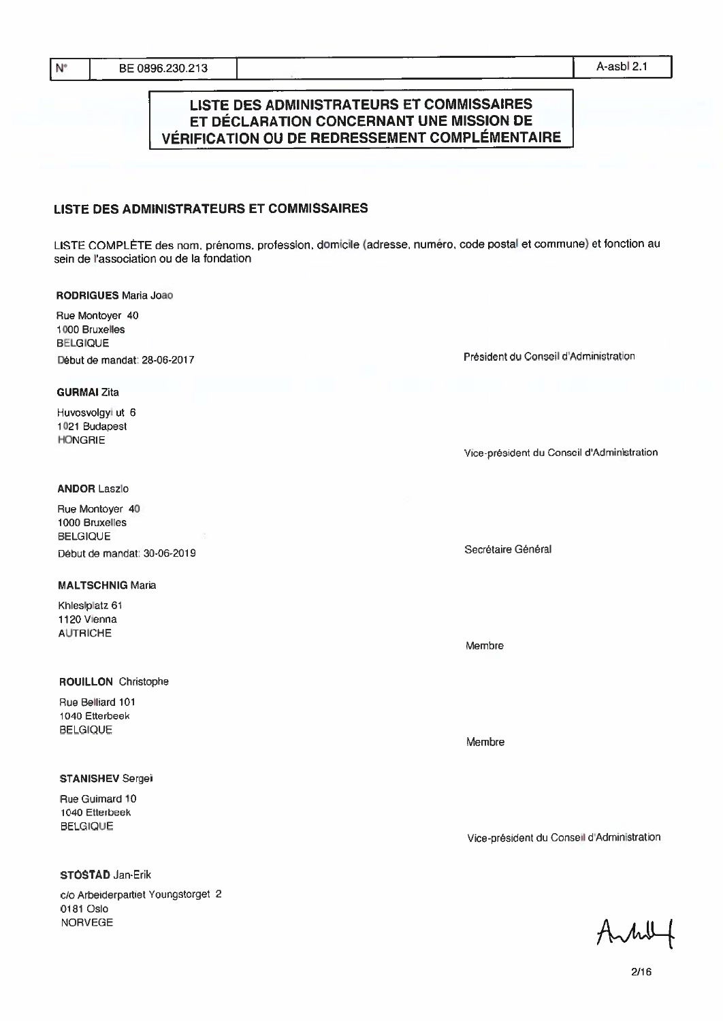#### **LISTE DES ADMINISTRATEURS ET COMMISSAIRES** ET DÉCLARATION CONCERNANT UNE MISSION DE VÉRIFICATION OU DE REDRESSEMENT COMPLÉMENTAIRE

#### **LISTE DES ADMINISTRATEURS ET COMMISSAIRES**

LISTE COMPLÈTE des nom, prénoms, profession, domicile (adresse, numéro, code postal et commune) et fonction au sein de l'association ou de la fondation

**RODRIGUES Maria João** 

Rue Montoyer 40 1000 Bruxelles **BELGIQUE** Début de mandat: 28-06-2017

**GURMAI Zita** 

Huvosvolgyl ut 6 1021 Budapest **HONGRIE** 

**ANDOR Laszlo** 

Rue Montoyer 40 1000 Bruxelles **BELGIQUE** Début de mandat: 30-06-2019

**MALTSCHNIG Maria** 

Khlesiplatz 61 1120 Vienna **AUTRICHE** 

**ROUILLON** Christophe

Rue Belliard 101 1040 Etterbeek **BELGIQUE** 

#### **STANISHEV Sergei**

Rue Guimard 10 1040 Etterbeek **BELGIQUE** 

**STOSTAD Jan-Erik** 

c/o Arbeiderpartiet Youngstorget 2 0181 Oslo NORVEGE

Président du Conseil d'Administration

Vice-président du Conseil d'Administration

Secrétaire Général

Membre

Membre

Vice-président du Conseil d'Administration

Anhl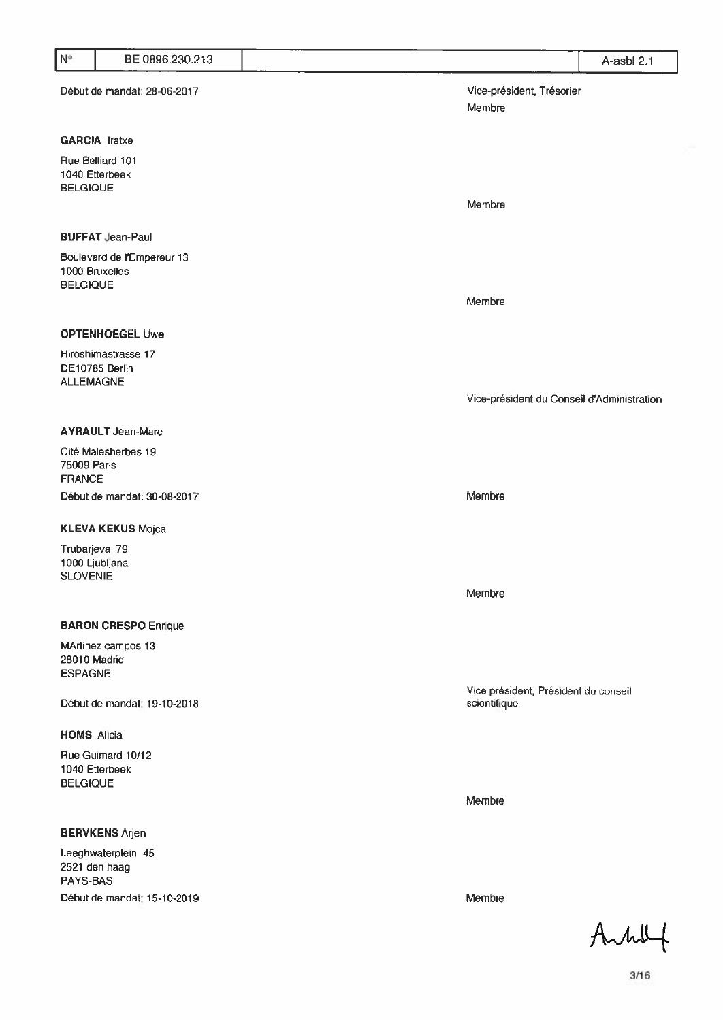| $N^{\circ}$                    | BE 0896.230.213                              |                                                      | A-asbl 2.1 |
|--------------------------------|----------------------------------------------|------------------------------------------------------|------------|
|                                | Début de mandat: 28-06-2017                  | Vice-président, Trésorier<br>Membre                  |            |
|                                | <b>GARCIA</b> Iratxe                         |                                                      |            |
| <b>BELGIQUE</b>                | Rue Belliard 101<br>1040 Etterbeek           | Membre                                               |            |
|                                | <b>BUFFAT Jean-Paul</b>                      |                                                      |            |
| <b>BELGIQUE</b>                | Boulevard de l'Empereur 13<br>1000 Bruxelles | Membre                                               |            |
|                                | <b>OPTENHOEGEL Uwe</b>                       |                                                      |            |
| <b>ALLEMAGNE</b>               | Hiroshimastrasse 17<br>DE10785 Berlin        | Vice-président du Conseil d'Administration           |            |
|                                | <b>AYRAULT Jean-Marc</b>                     |                                                      |            |
| 75009 Paris<br><b>FRANCE</b>   | Cité Malesherbes 19                          |                                                      |            |
|                                | Début de mandat: 30-08-2017                  | Membre                                               |            |
|                                | <b>KLEVA KEKUS Mojca</b>                     |                                                      |            |
| <b>SLOVENIE</b>                | Trubarjeva <sub>79</sub><br>1000 Ljubljana   | Membre                                               |            |
|                                | <b>BARON CRESPO Enrique</b>                  |                                                      |            |
| 28010 Madrid<br><b>ESPAGNE</b> | MArtinez campos 13                           |                                                      |            |
|                                | Début de mandat: 19-10-2018                  | Vice président, Président du conseil<br>scientifique |            |
| <b>HOMS</b> Alicia             |                                              |                                                      |            |
| <b>BELGIQUE</b>                | Rue Guimard 10/12<br>1040 Etterbeek          | Membre                                               |            |
|                                |                                              |                                                      |            |
|                                | <b>BERVKENS Arjen</b>                        |                                                      |            |
| PAYS-BAS                       | Leeghwaterplein 45<br>2521 den haag          |                                                      |            |
|                                | Début de mandat: 15-10-2019                  | Membre                                               |            |

Antilf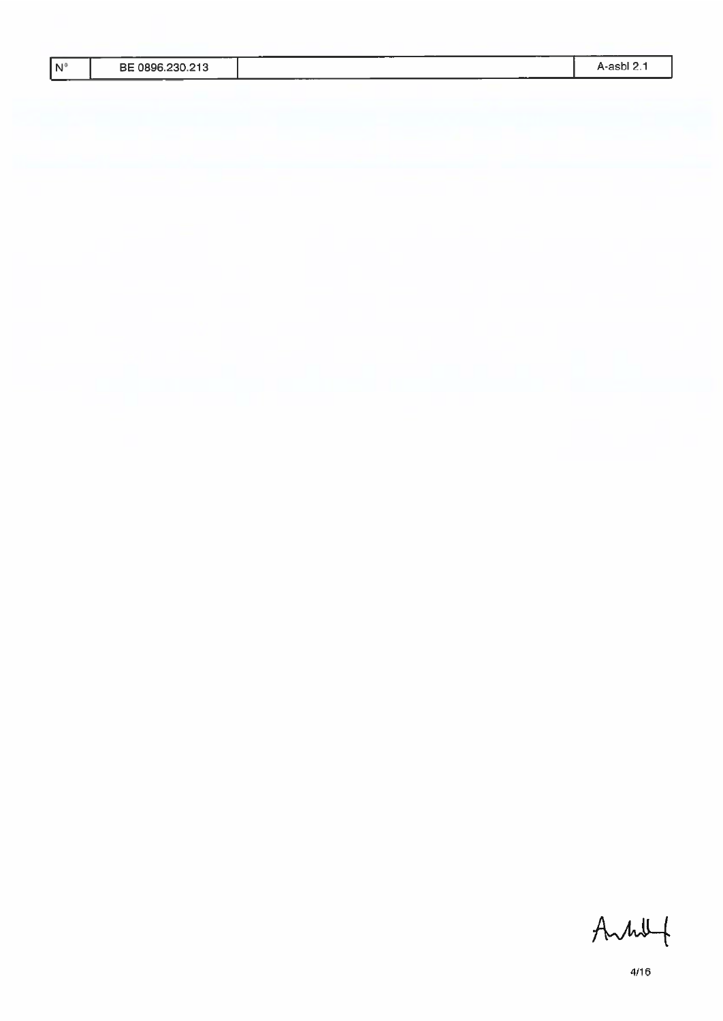| $N^{\circ}$ | BE 0896.230.213 | A-asbl 2.1 |
|-------------|-----------------|------------|
|             |                 |            |
|             |                 |            |
|             |                 |            |
|             |                 |            |
|             |                 |            |
|             |                 |            |
|             |                 |            |
|             |                 |            |
|             |                 |            |
|             |                 |            |
|             |                 |            |
|             |                 |            |
|             |                 |            |
|             |                 |            |
|             |                 |            |
|             |                 |            |
|             |                 |            |
|             |                 |            |

 $\n *And* +\n *Ans*\n$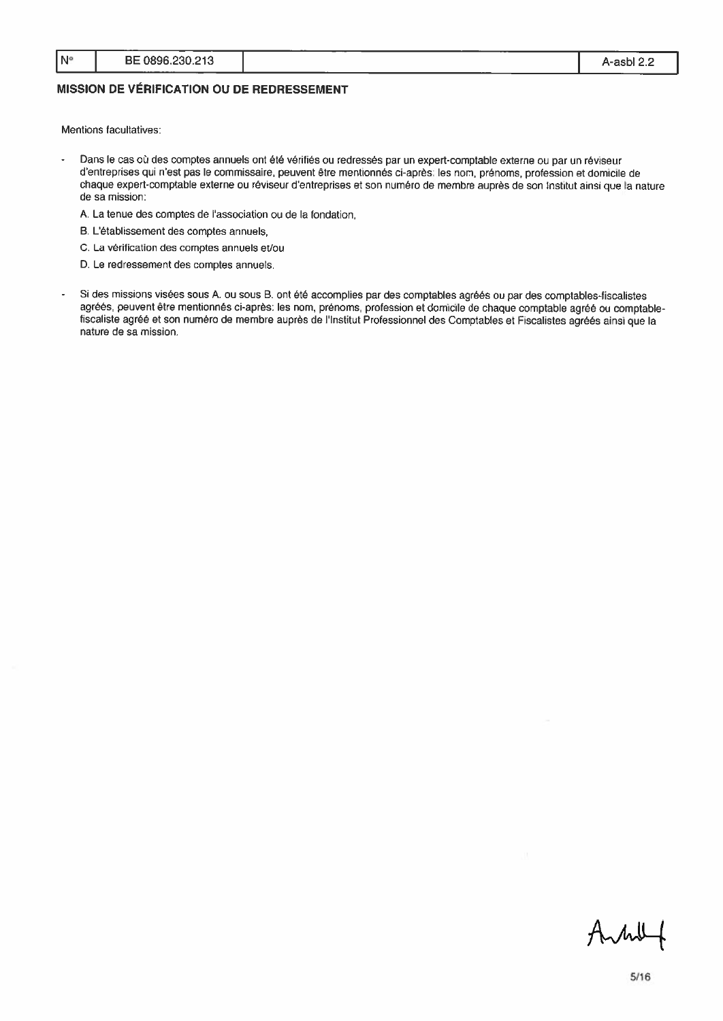#### MISSION DE VÉRIFICATION OU DE REDRESSEMENT

**Mentions facultatives:** 

- Dans le cas où des comptes annuels ont été vérifiés ou redressés par un expert-comptable externe ou par un réviseur d'entreprises qui n'est pas le commissaire, peuvent être mentionnés ci-après; les nom, prénoms, profession et domicile de chaque expert-comptable externe ou réviseur d'entreprises et son numéro de membre auprès de son institut ainsi que la nature de sa mission:
	- A. La tenue des comptes de l'association ou de la fondation,
	- B. L'établissement des comptes annuels,
	- C. La vérification des comptes annuels et/ou
	- D. Le redressement des comptes annuels.
- Si des missions visées sous A. ou sous B. ont été accomplies par des comptables agréés ou par des comptables-fiscalistes agréés, peuvent être mentionnés ci-après. les nom, prénoms, profession et domicile de chaque comptable agréé ou comptablefiscaliste agréé et son numéro de membre auprès de l'Institut Professionnel des Comptables et Fiscalistes agréés ainsi que la nature de sa mission.

Artil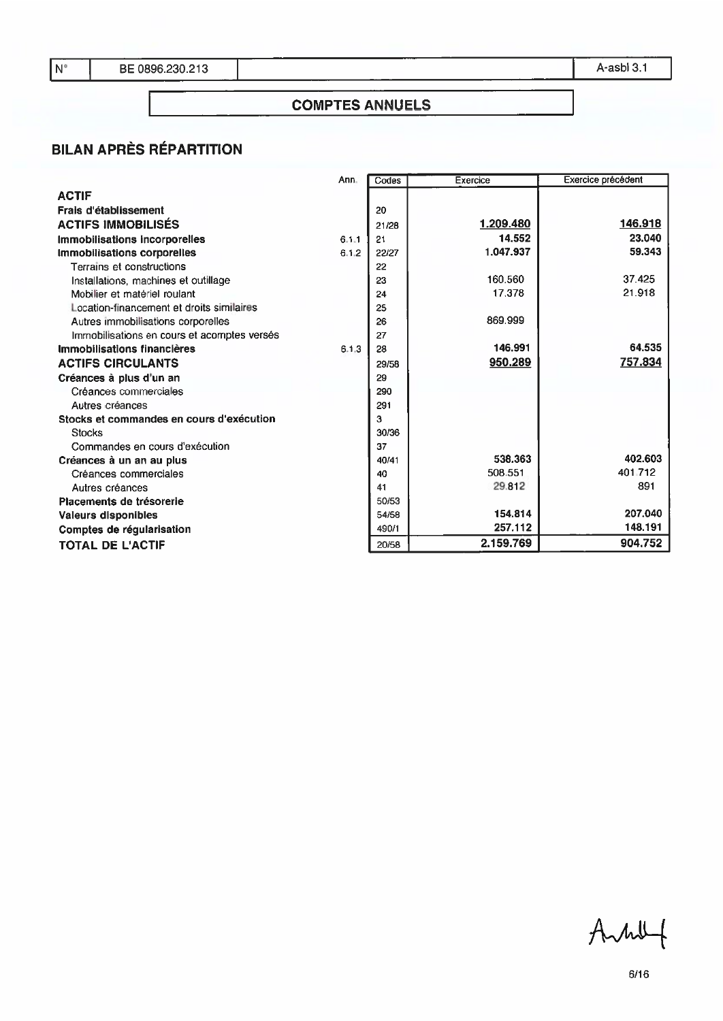A-asbl 3.1

## **COMPTES ANNUELS**

## **BILAN APRÈS RÉPARTITION**

|                                             | Ann.  | Codes | Exercice  | Exercice précédent |
|---------------------------------------------|-------|-------|-----------|--------------------|
| <b>ACTIF</b>                                |       |       |           |                    |
| Frais d'établissement                       |       | 20    |           |                    |
| <b>ACTIFS IMMOBILISÉS</b>                   |       | 21/28 | 1.209.480 | 146.918            |
| Immobilisations incorporelles               | 6.1.1 | 21    | 14.552    | 23.040             |
| Immobilisations corporelles                 | 6.1.2 | 22/27 | 1.047.937 | 59.343             |
| Terrains et constructions                   |       | 22    |           |                    |
| Installations, machines et outillage        |       | 23    | 160.560   | 37.425             |
| Mobilier et matériel roulant                |       | 24    | 17.378    | 21.918             |
| Location-financement et droits similaires   |       | 25    |           |                    |
| Autres immobilisations corporelles          |       | 26    | 869.999   |                    |
| Immobilisations en cours et acomptes versés |       | 27    |           |                    |
| Immobilisations financières                 | 6.1.3 | 28    | 146.991   | 64.535             |
| <b>ACTIFS CIRCULANTS</b>                    |       | 29/58 | 950.289   | 757.834            |
| Créances à plus d'un an                     |       | 29    |           |                    |
| Créances commerciales                       |       | 290   |           |                    |
| Autres créances                             |       | 291   |           |                    |
| Stocks et commandes en cours d'exécution    |       | 3     |           |                    |
| <b>Stocks</b>                               |       | 30/36 |           |                    |
| Commandes en cours d'execution              |       | 37    |           |                    |
| Créances à un an au plus                    |       | 40/41 | 538.363   | 402.603            |
| Créances commerciales                       |       | 40    | 508.551   | 401.712            |
| Autres créances                             |       | 41    | 29.812    | 891                |
| Placements de trésorerie                    |       | 50/53 |           |                    |
| <b>Valeurs disponibles</b>                  |       | 54/58 | 154.814   | 207.040            |
| Comptes de régularisation                   |       | 490/1 | 257.112   | 148.191            |
| <b>TOTAL DE L'ACTIF</b>                     |       | 20/58 | 2.159.769 | 904.752            |

Antilf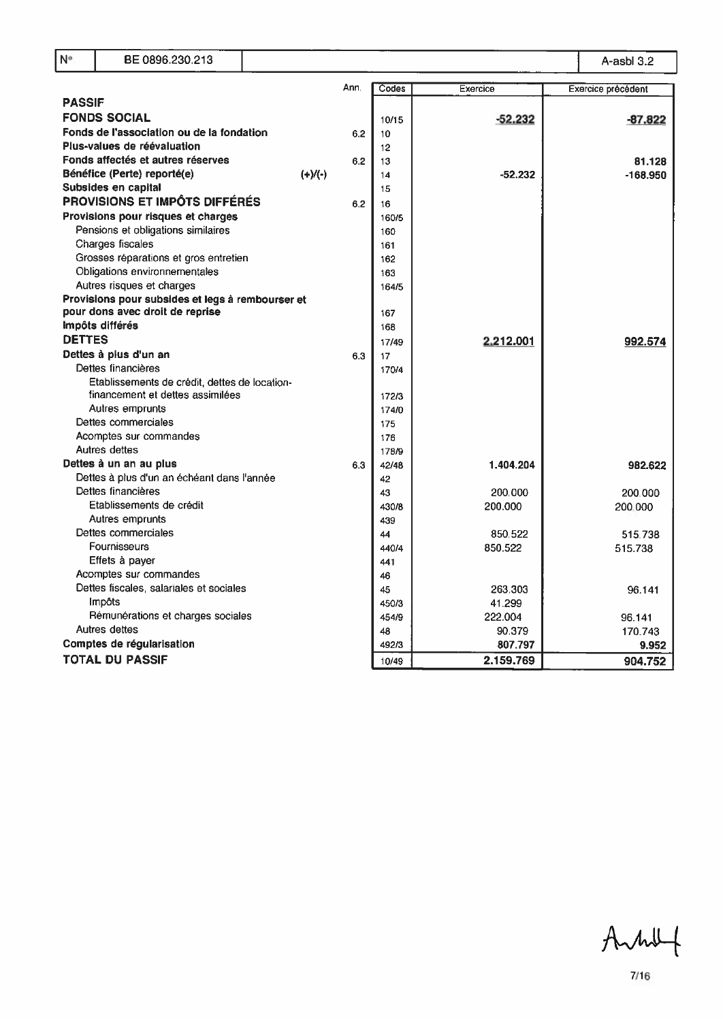| $N^{\circ}$   | BE 0896.230.213                                                  |           |      |              |           | A-asbl 3.2         |
|---------------|------------------------------------------------------------------|-----------|------|--------------|-----------|--------------------|
|               |                                                                  |           | Ann. | Codes        | Exercice  | Exercice précédent |
| <b>PASSIF</b> |                                                                  |           |      |              |           |                    |
|               | <b>FONDS SOCIAL</b>                                              |           |      | 10/15        | $-52.232$ | -87.822            |
|               | Fonds de l'association ou de la fondation                        |           | 6.2  | 10           |           |                    |
|               | Plus-values de réévaluation                                      |           |      | 12           |           |                    |
|               | Fonds affectés et autres réserves                                |           | 6.2  | 13           |           | 81.128             |
|               | Bénéfice (Perte) reporté(e)                                      | $(+)/(-)$ |      | 14           | $-52.232$ | $-168.950$         |
|               | Subsides en capital                                              |           |      | 15           |           |                    |
|               | <b>PROVISIONS ET IMPÔTS DIFFÉRÉS</b>                             |           | 6.2  | 16           |           |                    |
|               | Provisions pour risques et charges                               |           |      | 160/5        |           |                    |
|               | Pensions et obligations similaires                               |           |      | 160          |           |                    |
|               | Charges fiscales                                                 |           |      | 161          |           |                    |
|               | Grosses réparations et gros entretien                            |           |      | 162          |           |                    |
|               | Obligations environnementales                                    |           |      | 163          |           |                    |
|               | Autres risques et charges                                        |           |      | 164/5        |           |                    |
|               | Provisions pour subsides et legs à rembourser et                 |           |      |              |           |                    |
|               | pour dons avec droit de reprise                                  |           |      | 167          |           |                    |
|               | Impôts différés                                                  |           |      | 168          |           |                    |
| <b>DETTES</b> |                                                                  |           |      | 17/49        | 2.212.001 | 992.574            |
|               | Dettes à plus d'un an                                            |           | 6.3  | 17           |           |                    |
|               | Dettes financières                                               |           |      | 170/4        |           |                    |
|               | Etablissements de crédit, dettes de location-                    |           |      |              |           |                    |
|               | financement et dettes assimilées                                 |           |      | 172/3        |           |                    |
|               | Autres emprunts                                                  |           |      | 174/0        |           |                    |
|               | Dettes commerciales                                              |           |      | 175          |           |                    |
|               | Acomptes sur commandes                                           |           |      | 176          |           |                    |
|               | Autres dettes                                                    |           |      | 178/9        |           |                    |
|               | Dettes à un an au plus                                           |           | 6.3  | 42/48        | 1.404.204 | 982.622            |
|               | Dettes à plus d'un an échéant dans l'année<br>Dettes financières |           |      | 42           |           |                    |
|               | Etablissements de crédit                                         |           |      | 43           | 200.000   | 200.000            |
|               | Autres emprunts                                                  |           |      | 430/8<br>439 | 200.000   | 200.000            |
|               | Dettes commerciales                                              |           |      | 44           | 850.522   |                    |
|               | Fournisseurs                                                     |           |      | 440/4        | 850.522   | 515.738            |
|               | Effets à payer                                                   |           |      | 441          |           | 515.738            |
|               | Acomptes sur commandes                                           |           |      | 46           |           |                    |
|               | Dettes fiscales, salariales et sociales                          |           |      | 45           | 263.303   | 96.141             |
|               | Impôts                                                           |           |      | 450/3        | 41.299    |                    |
|               | Rémunérations et charges sociales                                |           |      | 454/9        | 222.004   | 96.141             |
|               | Autres dettes                                                    |           |      | 48           | 90.379    | 170.743            |
|               | Comptes de régularisation                                        |           |      | 492/3        | 807.797   | 9.952              |
|               | <b>TOTAL DU PASSIF</b>                                           |           |      | 10/49        | 2.159.769 | 904.752            |
|               |                                                                  |           |      |              |           |                    |

 $\n *And* +\n *7/16*\n$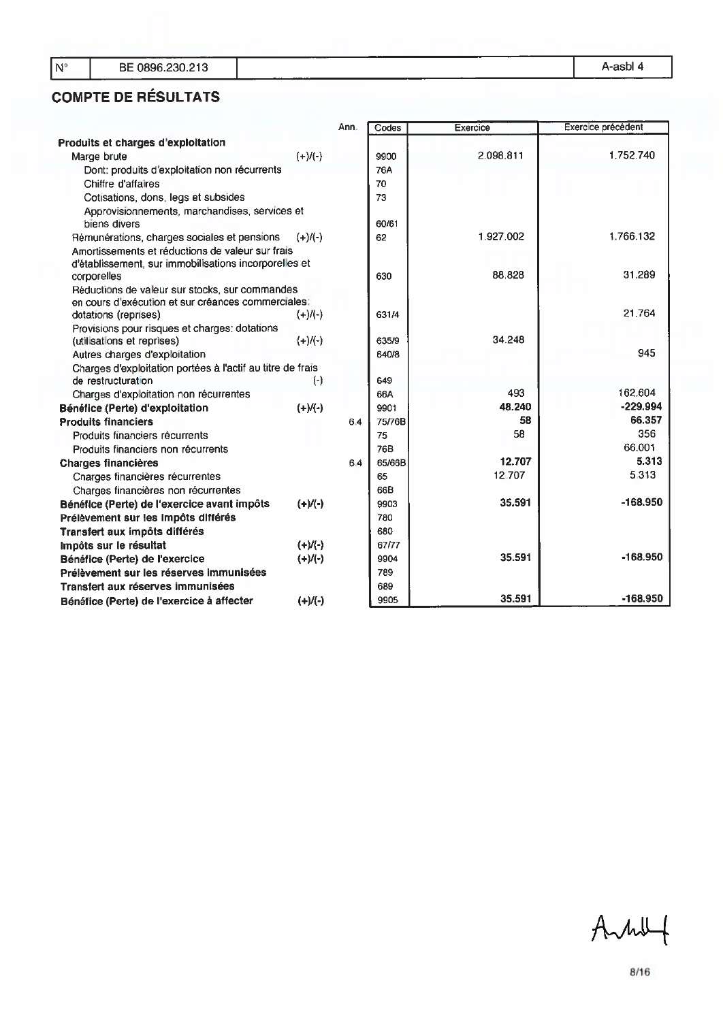## **COMPTE DE RÉSULTATS**

|                                                                                  |           | Ann. | Codes       | <b>Exercice</b> | Exercice précédent |
|----------------------------------------------------------------------------------|-----------|------|-------------|-----------------|--------------------|
| Produits et charges d'exploitation                                               |           |      |             |                 |                    |
| Marge brute                                                                      | $(+)/(-)$ |      | 9900        | 2.098.811       | 1.752.740          |
| Dont: produits d'exploitation non récurrents                                     |           |      | 76A         |                 |                    |
| Chiffre d'affaires                                                               |           |      | 70          |                 |                    |
| Cotisations, dons, legs et subsides                                              |           |      | 73          |                 |                    |
| Approvisionnements, marchandises, services et                                    |           |      |             |                 |                    |
| biens divers                                                                     |           |      | 60/61       |                 |                    |
| Rémunérations, charges sociales et pensions                                      | $(+)/(-)$ |      | 62          | 1.927.002       | 1.766.132          |
| Amortissements et réductions de valeur sur frais                                 |           |      |             |                 |                    |
| d'établissement, sur immobilisations incorporelles et                            |           |      |             |                 |                    |
| corporelles                                                                      |           |      | 630         | 88.828          | 31.289             |
| Réductions de valeur sur stocks, sur commandes                                   |           |      |             |                 |                    |
| en cours d'exécution et sur créances commerciales.                               |           |      |             |                 |                    |
| dotations (reprises)                                                             | $(+)/(-)$ |      | 631/4       |                 | 21.764             |
| Provisions pour risques et charges: dotations                                    |           |      |             | 34.248          |                    |
| (utilisations et reprises)                                                       | $(+)/(-)$ |      | 635/9       |                 | 945                |
| Autres charges d'exploitation                                                    |           |      | 640/8       |                 |                    |
| Charges d'exploitation portées à l'actif au titre de frais<br>de restructuration |           |      | 649         |                 |                    |
|                                                                                  | $(\cdot)$ |      | 66A         | 493             | 162.604            |
| Charges d'exploitation non récurrentes                                           | $(+)/(-)$ |      | 9901        | 48.240          | $-229.994$         |
| Bénéfice (Perte) d'exploitation<br><b>Produits financiers</b>                    |           | 6.4  | 75/76B      | 58              | 66.357             |
| Produits financiers récurrents                                                   |           |      | 75          | 58              | 356                |
| Produits financiers non récurrents                                               |           |      | 76B         |                 | 66.001             |
|                                                                                  |           | 6.4  | 65/66B      | 12.707          | 5.313              |
| <b>Charges financières</b>                                                       |           |      | 65          | 12.707          | 5.313              |
| Charges financières récurrentes                                                  |           |      | 66B         |                 |                    |
| Charges financières non récurrentes                                              |           |      | 9903        | 35.591          | $-168.950$         |
| Bénéfice (Perte) de l'exercice avant impôts                                      | $(+)/(-)$ |      | 780         |                 |                    |
| Prélèvement sur les impôts différés                                              |           |      | 680         |                 |                    |
| Transfert aux impôts différés                                                    | $(+)/(-)$ |      | 67/77       |                 |                    |
| Impôts sur le résultat                                                           |           |      |             | 35.591          | $-168.950$         |
| Bénéfice (Perte) de l'exercice<br>Prélèvement sur les réserves immunisées        | $(+)/(-)$ |      | 9904<br>789 |                 |                    |
| Transfert aux réserves immunisées                                                |           |      | 689         |                 |                    |
|                                                                                  |           |      |             | 35.591          | $-168.950$         |
| Bénéfice (Perte) de l'exercice à affecter                                        | $(+)/(-)$ |      | 9905        |                 |                    |

 $A - A$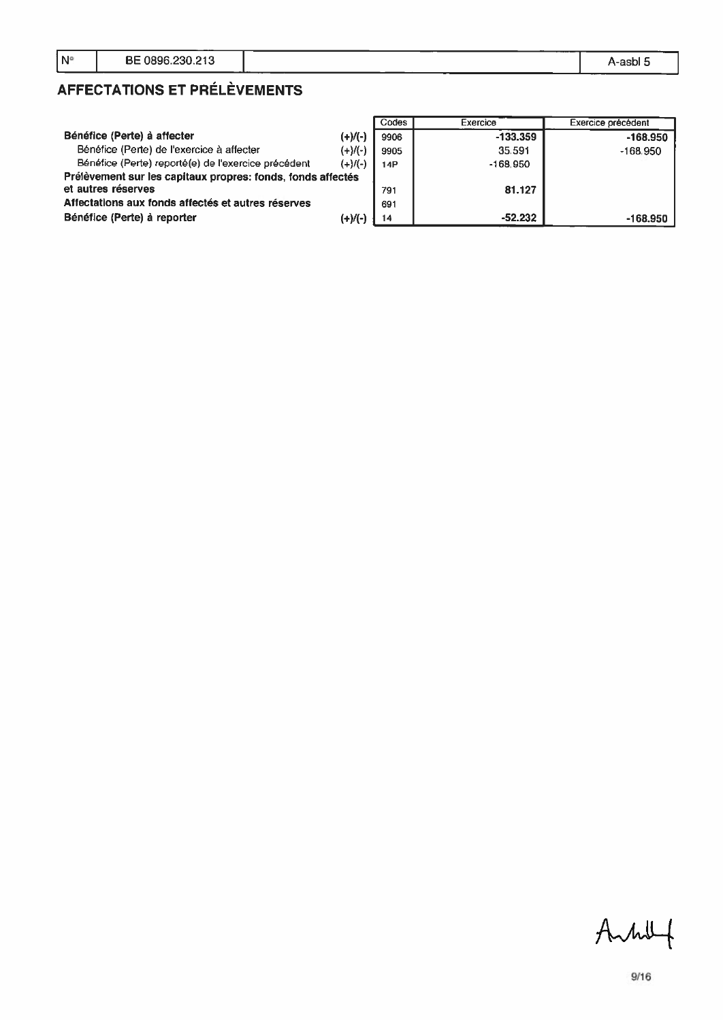| 1N <sup>o</sup> | BE 0896.230.213 |  |
|-----------------|-----------------|--|
|-----------------|-----------------|--|

A-asbl 5

## **AFFECTATIONS ET PRÉLÈVEMENTS**

|                                                             |           | Codes | Exercice   | Exercice précédent |
|-------------------------------------------------------------|-----------|-------|------------|--------------------|
| Bénéfice (Perte) à affecter                                 | $(+)/(-)$ | 9906  | $-133.359$ | $-168.950$         |
| Bénéfice (Perte) de l'exercice à affecter                   | $(+)/(-)$ | 9905  | 35.591     | $-168.950$         |
| Bénéfice (Perte) reporté(e) de l'exercice précédent         | $(+)/(-)$ | 14P   | $-168.950$ |                    |
| Prélèvement sur les capitaux propres: fonds, fonds affectés |           |       |            |                    |
| et autres réserves                                          |           | 791   | 81.127     |                    |
| Affectations aux fonds affectés et autres réserves          |           | 691   |            |                    |
| Bénéfice (Perte) à reporter                                 | $(+)/(-)$ | 14    | $-52.232$  | $-168.950$         |
|                                                             |           |       |            |                    |

 $9/16$ 

Antilf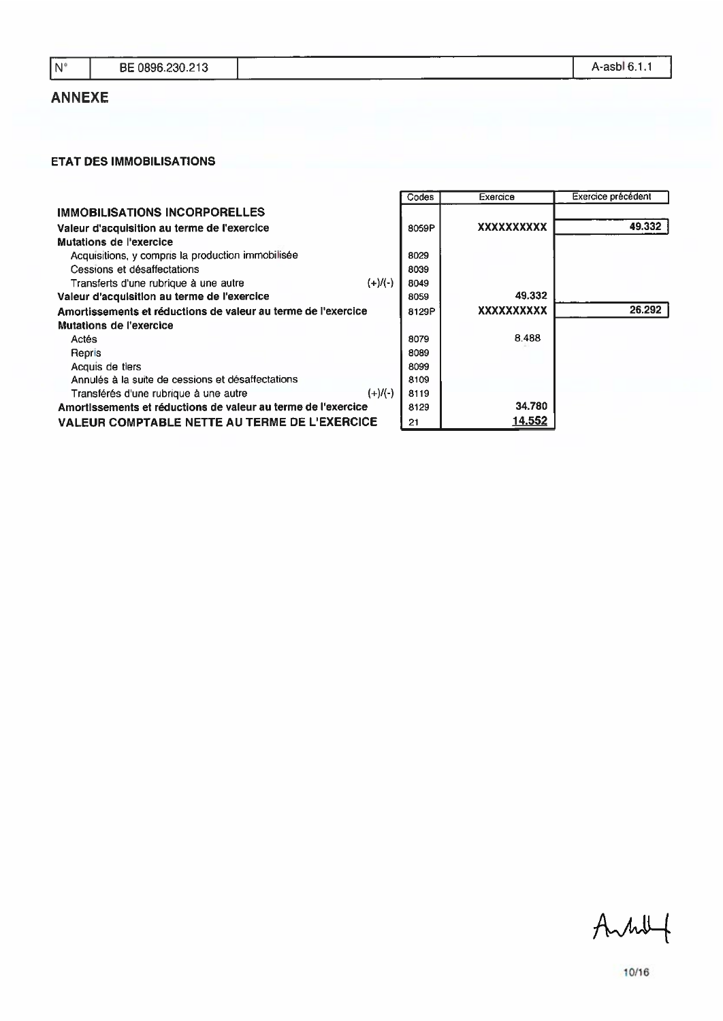| ----<br>N°<br>BE 0896.230.213<br>. . | A-asbl 6.1.<br>--- |
|--------------------------------------|--------------------|
|--------------------------------------|--------------------|

## **ANNEXE**

#### **ETAT DES IMMOBILISATIONS**

|                                                               | Codes | Exercice   | Exercice précédent |
|---------------------------------------------------------------|-------|------------|--------------------|
| <b>IMMOBILISATIONS INCORPORELLES</b>                          |       |            |                    |
| Valeur d'acquisition au terme de l'exercice                   | 8059P | XXXXXXXXXX | 49.332             |
| <b>Mutations de l'exercice</b>                                |       |            |                    |
| Acquisitions, y compris la production immobilisée             | 8029  |            |                    |
| Cessions et désaffectations                                   | 8039  |            |                    |
| $(+)/(-)$<br>Transferts d'une rubrique à une autre            | 8049  |            |                    |
| Valeur d'acquisition au terme de l'exercice                   | 8059  | 49.332     |                    |
| Amortissements et réductions de valeur au terme de l'exercice | 8129P | XXXXXXXXXX | 26.292             |
| <b>Mutations de l'exercice</b>                                |       |            |                    |
| Actés                                                         | 8079  | 8.488      |                    |
| Repris                                                        | 8089  |            |                    |
| Acquis de tiers                                               | 8099  |            |                    |
| Annulés à la suite de cessions et désaffectations             | 8109  |            |                    |
| $(+)/(-)$<br>Transférés d'une rubrique à une autre            | 8119  |            |                    |
| Amortissements et réductions de valeur au terme de l'exercice | 8129  | 34.780     |                    |
| VALEUR COMPTABLE NETTE AU TERME DE L'EXERCICE                 | 21    | 14.552     |                    |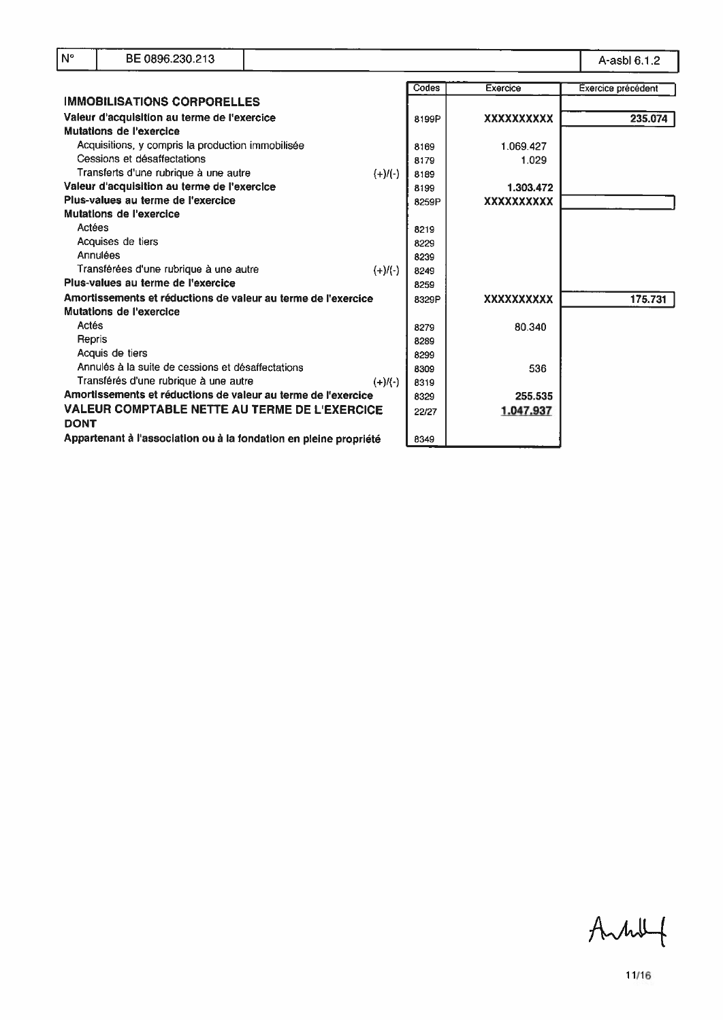| N°          | BE 0896.230.213                                                   |                                                      |       |            | A-asbl 6.1.2       |
|-------------|-------------------------------------------------------------------|------------------------------------------------------|-------|------------|--------------------|
|             |                                                                   |                                                      | Codes | Exercice   | Exercice précédent |
|             | <b>IMMOBILISATIONS CORPORELLES</b>                                |                                                      |       |            |                    |
|             | Valeur d'acquisition au terme de l'exercice                       |                                                      | 8199P | XXXXXXXXXX | 235.074            |
|             | <b>Mutations de l'exercice</b>                                    |                                                      |       |            |                    |
|             | Acquisitions, y compris la production immobilisée                 |                                                      | 8169  | 1.069.427  |                    |
|             | Cessions et désaffectations                                       |                                                      | 8179  | 1.029      |                    |
|             | Transferts d'une rubrique à une autre                             | $(+)/(-)$                                            | 8189  |            |                    |
|             | Valeur d'acquisition au terme de l'exercice                       |                                                      | 8199  | 1.303.472  |                    |
|             | Plus-values au terme de l'exercice                                |                                                      | 8259P | XXXXXXXXXX |                    |
|             | Mutations de l'exercice                                           |                                                      |       |            |                    |
| Actées      |                                                                   |                                                      | 8219  |            |                    |
|             | Acquises de tiers                                                 |                                                      | 8229  |            |                    |
|             | Annulées                                                          |                                                      | 8239  |            |                    |
|             | Transférées d'une rubrique à une autre                            | $(+)/(-)$                                            | 8249  |            |                    |
|             | Plus-values au terme de l'exercice                                |                                                      | 8259  |            |                    |
|             | Amortissements et réductions de valeur au terme de l'exercice     |                                                      | 8329P | XXXXXXXXXX | 175.731            |
|             | <b>Mutations de l'exercice</b>                                    |                                                      |       |            |                    |
| Actés       |                                                                   |                                                      | 8279  | 80.340     |                    |
| Repris      |                                                                   |                                                      | 8289  |            |                    |
|             | Acquis de tiers                                                   |                                                      | 8299  |            |                    |
|             | Annulés à la suite de cessions et désaffectations                 |                                                      | 8309  | 536        |                    |
|             | Transférés d'une rubrique à une autre                             | $(+)/(-)$                                            | 8319  |            |                    |
|             | Amortissements et réductions de valeur au terme de l'exercice     |                                                      | 8329  | 255.535    |                    |
|             |                                                                   | <b>VALEUR COMPTABLE NETTE AU TERME DE L'EXERCICE</b> | 22/27 | 1.047.937  |                    |
| <b>DONT</b> |                                                                   |                                                      |       |            |                    |
|             | Appartenant à l'association ou à la fondation en pleine propriété |                                                      | 8349  |            |                    |

 $Arall$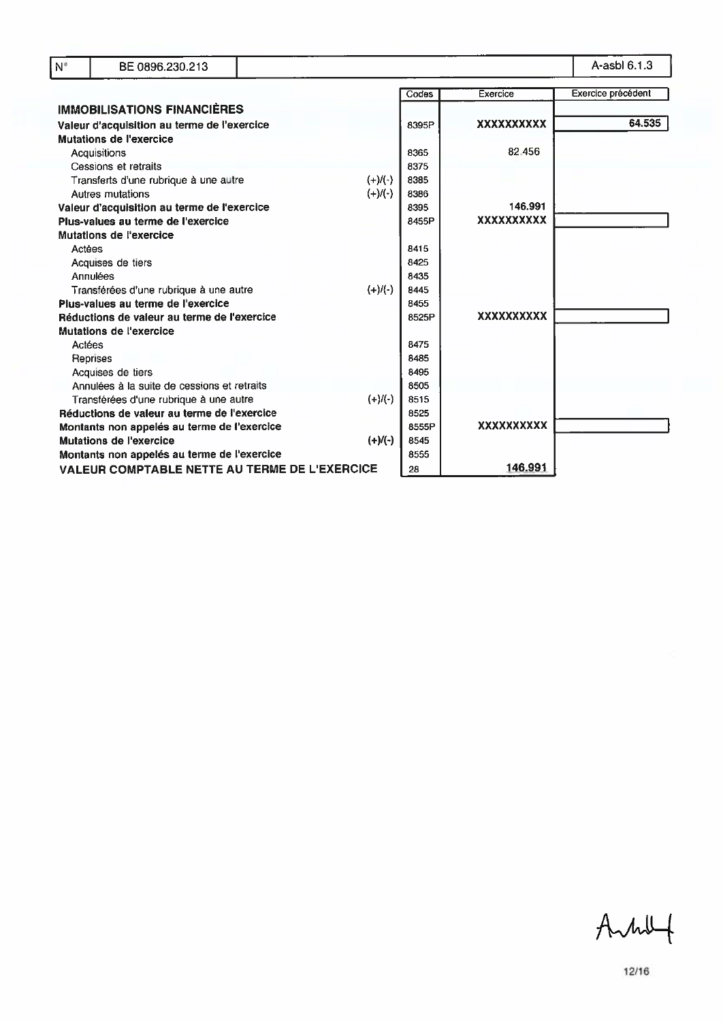| $N^{\circ}$ | BE 0896.230.213                                      |           |       |            | A-asbl 6.1.3       |
|-------------|------------------------------------------------------|-----------|-------|------------|--------------------|
|             |                                                      |           | Codes | Exercice   | Exercice précédent |
|             | <b>IMMOBILISATIONS FINANCIÈRES</b>                   |           |       |            |                    |
|             | Valeur d'acquisition au terme de l'exercice          |           | 8395P | XXXXXXXXXX | 64.535             |
|             | <b>Mutations de l'exercice</b>                       |           |       |            |                    |
|             | Acquisitions                                         |           | 8365  | 82.456     |                    |
|             | Cessions et retraits                                 |           | 8375  |            |                    |
|             | Transferts d'une rubrique à une autre                | $(+)/(-)$ | 8385  |            |                    |
|             | <b>Autres mutations</b>                              | $(+)/(-)$ | 8386  |            |                    |
|             | Valeur d'acquisition au terme de l'exercice          |           | 8395  | 146.991    |                    |
|             | Plus-values au terme de l'exercice                   |           | 8455P | XXXXXXXXXX |                    |
|             | Mutations de l'exercice                              |           |       |            |                    |
| Actées      |                                                      |           | 8415  |            |                    |
|             | Acquises de tiers                                    |           | 8425  |            |                    |
|             | Annulées                                             |           | 8435  |            |                    |
|             | Transférées d'une rubrique à une autre               | $(+)/(-)$ | 8445  |            |                    |
|             | Plus-values au terme de l'exercice                   |           | 8455  |            |                    |
|             | Réductions de valeur au terme de l'exercice          |           | 8525P | XXXXXXXXXX |                    |
|             | Mutations de l'exercice                              |           |       |            |                    |
| Actées      |                                                      |           | 8475  |            |                    |
|             | Reprises                                             |           | 8485  |            |                    |
|             | Acquises de tiers                                    |           | 8495  |            |                    |
|             | Annulées à la suite de cessions et retraits          |           | 8505  |            |                    |
|             | Transférées d'une rubrique à une autre               | $(+)/(-)$ | 8515  |            |                    |
|             | Réductions de valeur au terme de l'exercice          |           | 8525  |            |                    |
|             | Montants non appelés au terme de l'exercice          |           | 8555P | XXXXXXXXXX |                    |
|             | <b>Mutations de l'exercice</b>                       | $(+)/(-)$ | 8545  |            |                    |
|             | Montants non appelés au terme de l'exercice          |           | 8555  |            |                    |
|             | <b>VALEUR COMPTABLE NETTE AU TERME DE L'EXERCICE</b> |           | 28    | 146.991    |                    |

Anhlt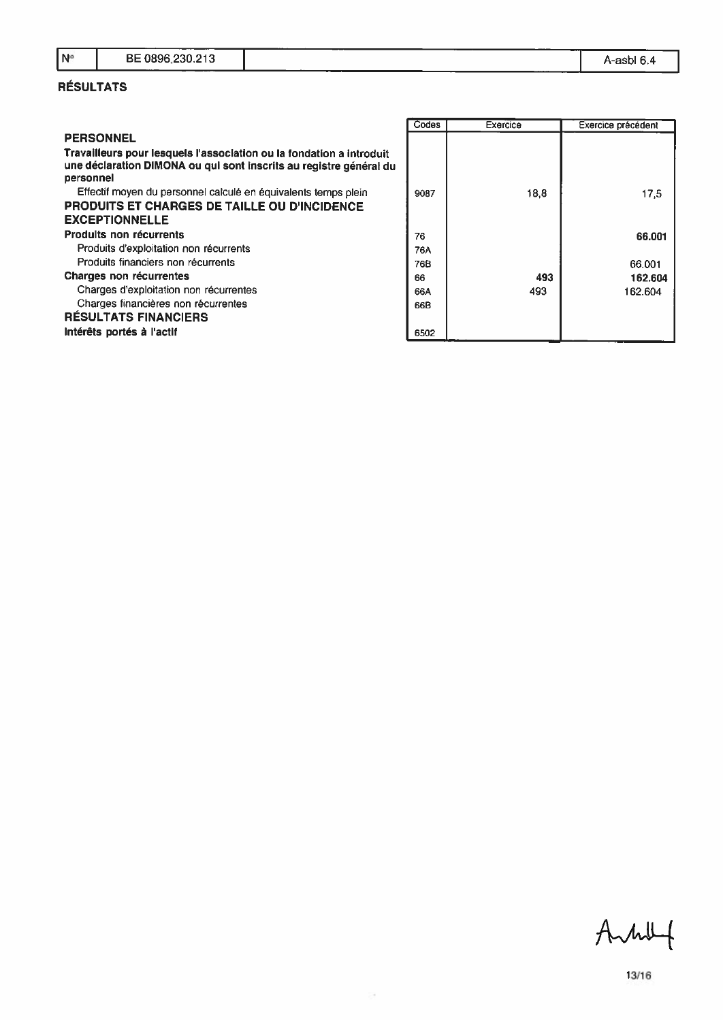| $N^{\circ}$ | BE 0896.230.213 | -------<br><b>STATE OF BUILDING</b><br>__ | A-asbl 6. |
|-------------|-----------------|-------------------------------------------|-----------|
|             |                 |                                           |           |

## **RÉSULTATS**

|                                                                                                                                            | Codes | Exercice | Exercice précédent |
|--------------------------------------------------------------------------------------------------------------------------------------------|-------|----------|--------------------|
| <b>PERSONNEL</b>                                                                                                                           |       |          |                    |
| Travailleurs pour lesquels l'association ou la fondation a introduit<br>une déclaration DIMONA ou qui sont inscrits au registre général du |       |          |                    |
| personnel                                                                                                                                  |       |          |                    |
| Effectif moyen du personnel calculé en équivalents temps plein                                                                             | 9087  | 18,8     | 17,5               |
| <b>PRODUITS ET CHARGES DE TAILLE OU D'INCIDENCE</b>                                                                                        |       |          |                    |
| <b>EXCEPTIONNELLE</b>                                                                                                                      |       |          |                    |
| Produits non récurrents                                                                                                                    | 76    |          | 66.001             |
| Produits d'exploitation non récurrents                                                                                                     | 76A   |          |                    |
| Produits financiers non récurrents                                                                                                         | 76B   |          | 66.001             |
| Charges non récurrentes                                                                                                                    | 66    | 493      | 162.604            |
| Charges d'exploitation non récurrentes                                                                                                     | 66A   | 493      | 162.604            |
| Charges financières non récurrentes                                                                                                        | 66B   |          |                    |
| <b>RÉSULTATS FINANCIERS</b>                                                                                                                |       |          |                    |
| Intérêts portés à l'actif                                                                                                                  | 6502  |          |                    |

Antilf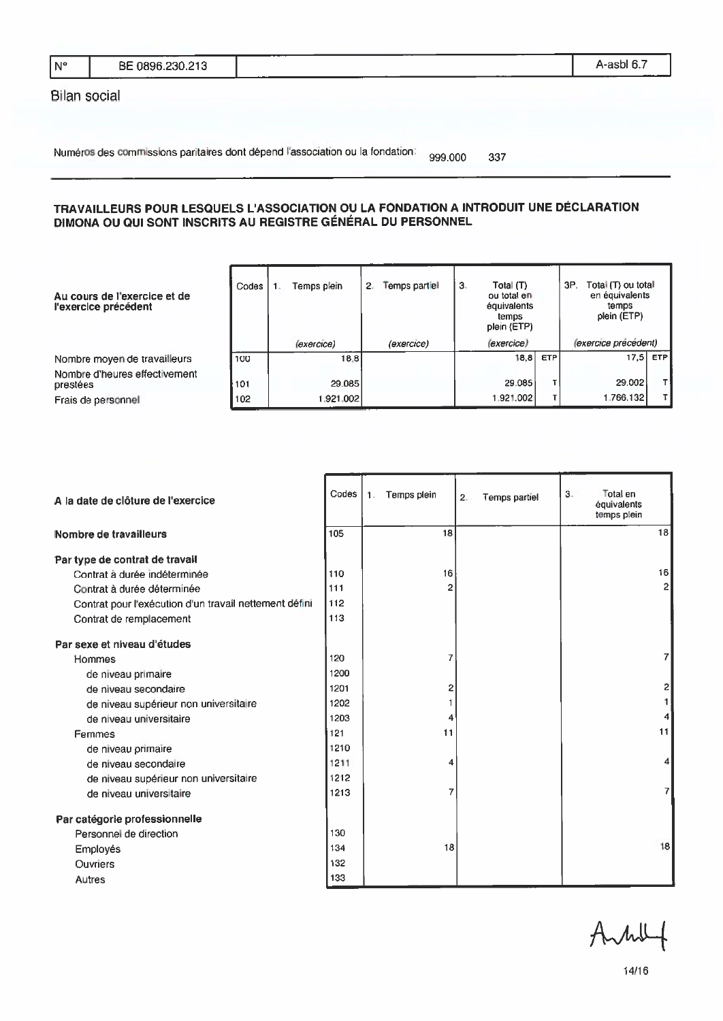| ⊾N° | ______<br>BE 0896.230.213<br>$   -$ | ---------<br>- - -<br>$  -$ | <br>.<br>_____<br>____ |
|-----|-------------------------------------|-----------------------------|------------------------|
|     | -----                               |                             |                        |

## **Bilan social**

Numéros des commissions paritaires dont dépend l'association ou la fondation: 999.000 337

#### TRAVAILLEURS POUR LESQUELS L'ASSOCIATION OU LA FONDATION A INTRODUIT UNE DÉCLARATION DIMONA OU QUI SONT INSCRITS AU REGISTRE GÉNÉRAL DU PERSONNEL

|  | Au cours de l'exercice et de<br>l'exercice précédent |  |  |
|--|------------------------------------------------------|--|--|
|  |                                                      |  |  |

 $\sim$   $\sim$ 

Nombre moyen de travailleurs Nombre d'heures effectivement prestées Frais de personnel

| Codes | Temps plein | 3P.<br>З.<br>Total (T)<br>Temps partiel<br>2.<br>ou total en<br>équivalents<br>temps<br>plein (ETP) |  |            |            |                      | Total (T) ou total<br>en équivalents<br>temps<br>plein (ETP) |  |
|-------|-------------|-----------------------------------------------------------------------------------------------------|--|------------|------------|----------------------|--------------------------------------------------------------|--|
|       | (exercice)  | (exercice)                                                                                          |  | (exercice) |            | (exercice précédent) |                                                              |  |
| 100   | 18.8        |                                                                                                     |  | 18,8       | <b>ETP</b> | 17,5                 | <b>ETP</b>                                                   |  |
| i 101 | 29.085      |                                                                                                     |  | 29.085     |            | 29.002               | Τł                                                           |  |
| 102   | 1.921.002   |                                                                                                     |  | 1.921.002  |            | 1.766.132            | т                                                            |  |

| A la date de clôture de l'exercice                     | Codes | 1. | Temps plein | 2.<br><b>Temps partiel</b> | 3. | Total en<br>équivalents<br>temps plein |
|--------------------------------------------------------|-------|----|-------------|----------------------------|----|----------------------------------------|
| Nombre de travailleurs                                 | 105   |    | 18          |                            |    | 18                                     |
| Par type de contrat de travail                         |       |    |             |                            |    |                                        |
| Contrat à durée indéterminée                           | 110   |    | 16          |                            |    | 16                                     |
| Contrat à durée déterminée                             | 111   |    | 2           |                            |    | 2                                      |
| Contrat pour l'exécution d'un travail nettement défini | 112   |    |             |                            |    |                                        |
| Contrat de remplacement                                | 113   |    |             |                            |    |                                        |
| Par sexe et niveau d'études                            |       |    |             |                            |    |                                        |
| Hommes                                                 | 120   |    | 7           |                            |    | 7                                      |
| de niveau primaire                                     | 1200  |    |             |                            |    |                                        |
| de niveau secondaire                                   | 1201  |    | 2           |                            |    | 2                                      |
| de niveau supérieur non universitaire                  | 1202  |    |             |                            |    |                                        |
| de niveau universitaire                                | 1203  |    | 4           |                            |    |                                        |
| Femmes                                                 | 121   |    | 11          |                            |    | 11                                     |
| de niveau primaire                                     | 1210  |    |             |                            |    |                                        |
| de niveau secondaire                                   | 1211  |    | 4           |                            |    | 4                                      |
| de niveau supérieur non universitaire                  | 1212  |    |             |                            |    |                                        |
| de niveau universitaire                                | 1213  |    | 7           |                            |    | 7                                      |
| Par catégorie professionnelle                          |       |    |             |                            |    |                                        |
| Personnel de direction                                 | 130   |    |             |                            |    |                                        |
| Employés                                               | 134   |    | 18          |                            |    | 18                                     |
| <b>Ouvriers</b>                                        | 132   |    |             |                            |    |                                        |
| Autres                                                 | 133   |    |             |                            |    |                                        |

Antilf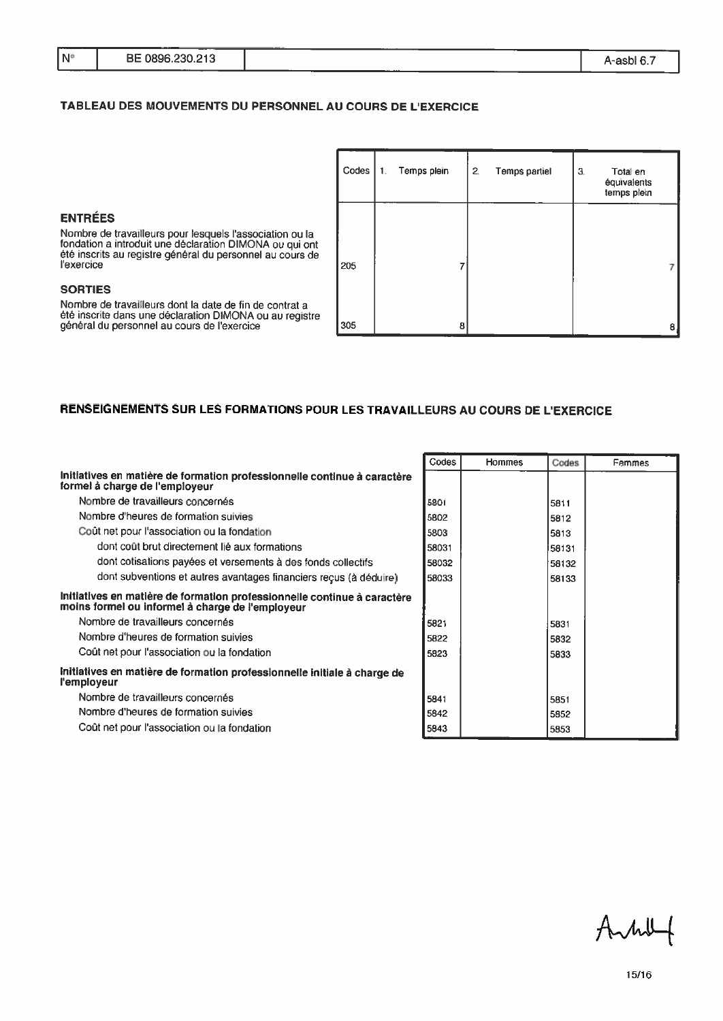| $N^{\circ}$                                                                                                                     | BE 0896.230.213<br>--- |         | A-asbl<br>υ. |
|---------------------------------------------------------------------------------------------------------------------------------|------------------------|---------|--------------|
| $\mathcal{L}^{\text{max}}_{\text{max}}$ and $\mathcal{L}^{\text{max}}_{\text{max}}$ and $\mathcal{L}^{\text{max}}_{\text{max}}$ |                        | --- --- |              |

#### TABLEAU DES MOUVEMENTS DU PERSONNEL AU COURS DE L'EXERCICE

#### **ENTRÉES**

Nombre de travailleurs pour lesquels l'association ou la<br>fondation a introduit une déclaration DIMONA ou qui ont<br>été inscrits au registre général du personnel au cours de<br>l'horaraine l'exercice

#### **SORTIES**

Nombre de travailleurs dont la date de fin de contrat a<br>été inscrite dans une déclaration DIMONA ou au registre général du personnel au cours de l'exercice

| Codes | 1. | Temps plein | 2. | Temps partiel | З. | Total en<br>équivalents<br>temps plein |
|-------|----|-------------|----|---------------|----|----------------------------------------|
| 205   |    |             |    |               |    |                                        |
| 305   |    | 8           |    |               |    | 8                                      |

## RENSEIGNEMENTS SUR LES FORMATIONS POUR LES TRAVAILLEURS AU COURS DE L'EXERCICE

|                                                                                                                              | Codes | <b>Hommes</b> | Codes | Femmes |
|------------------------------------------------------------------------------------------------------------------------------|-------|---------------|-------|--------|
| Initiatives en matière de formation professionnelle continue à caractère<br>formel à charge de l'employeur                   |       |               |       |        |
| Nombre de travailleurs concernés                                                                                             | 5801  |               | 5811  |        |
| Nombre d'heures de formation suivies                                                                                         | 5802  |               | 5812  |        |
| Coût net pour l'association ou la fondation                                                                                  | 5803  |               | 5813  |        |
| dont coût brut directement lié aux formations                                                                                | 58031 |               | 58131 |        |
| dont cotisations payées et versements à des fonds collectifs                                                                 | 58032 |               | 58132 |        |
| dont subventions et autres avantages financiers reçus (à déduire)                                                            | 58033 |               | 58133 |        |
| Initiatives en matière de formation professionnelle continue à caractère<br>moins formel ou informel à charge de l'employeur |       |               |       |        |
| Nombre de travailleurs concernés                                                                                             | 5821  |               | 5831  |        |
| Nombre d'heures de formation suivies                                                                                         | 5822  |               | 5832  |        |
| Coût net pour l'association ou la fondation                                                                                  | 5823  |               | 5833  |        |
| Initiatives en matière de formation professionnelle initiale à charge de<br>l'employeur                                      |       |               |       |        |
| Nombre de travailleurs concernés                                                                                             | 5841  |               | 5851  |        |
| Nombre d'heures de formation suivies                                                                                         | 5842  |               | 5852  |        |
| Coût net pour l'association ou la fondation                                                                                  | 5843  |               | 5853  |        |

Antil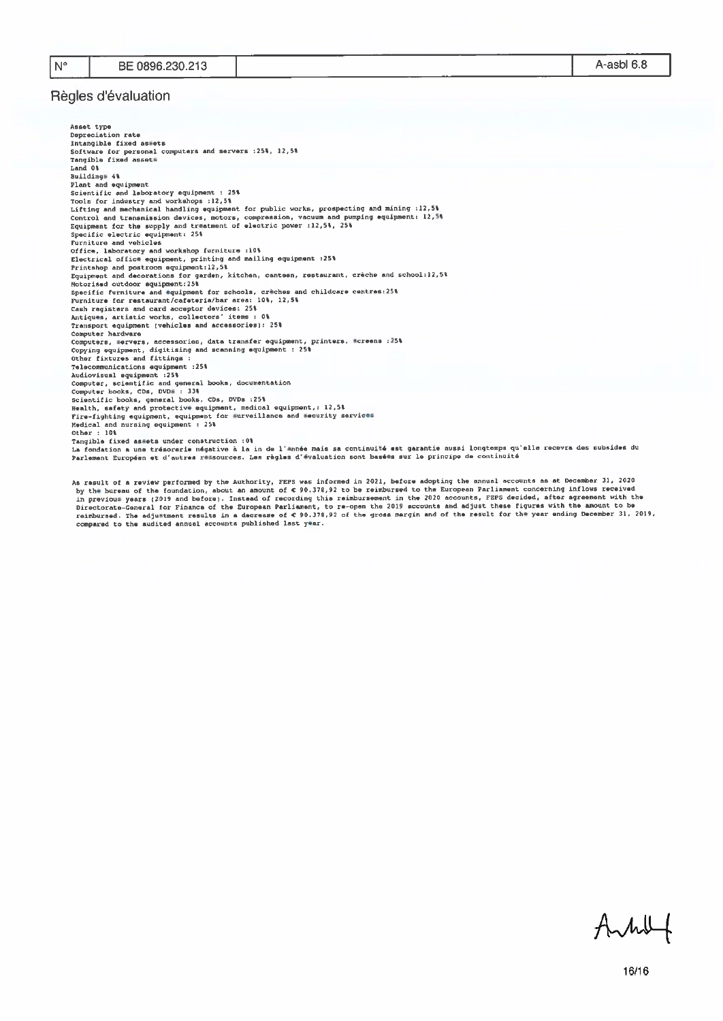#### Règles d'évaluation

Asset type Depreciation rate Intangible fixed as#ets Software for personal computers and servers : 25%, 12,5% Tangible fixed assets  $Land$   $0$ <sup>\*</sup> **Buildings 4%** Plant and equipment Scientific and laboratory equipment : 25% Scientific and laboratory equipment : 23%<br>Tools for industry and workshops :12,5%<br>Lifting and mechanical handling equipment for public works, prospecting and mining :12,5%<br>Control and transmission devices, motors, compress Equipment for the supply and tractment of electric power :12,5%, 25%<br>Specific electric equipment: 25%<br>Furniture and vehicles<br>Office, laboratory and workshop furniture :10%<br>Electrical office equipment, printing and mailing Specific furniture and equipment for schools, creckes and childcare centres: 25%<br>Furniture for restaurant/cafeteria/bar area: 10%, 12,5% Cash registers and card acceptor devices: 25%<br>Antiques, artistic works, collectors' items : 0%<br>Transport equipment (vehicles and accessories): 25% Computer hardware Computers, Servers, accessories, data transfer equipment, printers, Screens :25% copying equipment, digitising and scanning equipment : 25%<br>Other fixtures and fittings : Other fixtures and ilitings<br>
Telecommunications equipment :25%<br>
Audiovisual equipment :25%<br>
Computer, scientific and general books, documentation<br>
Computer books, CDs, DVDs : 33%<br>
Scientific books, general books, CDs, DVDs Bealth, safety and protective equipment, medical equipment,: 12,5%<br>Fire-fighting equipment, equipment for eurveillance and security services Medical and nursing equipment : 25%<br>Other : 10% °uno i fixed as ets under construction :0%<br>La fondation a une trésorerie négative à la in de l'≞nnée mais sa continuité est garantie aussi longtemps qu'elle recevra des subsides du<br>Parlement Européen et d'autres re≣source

As result of a review performed by the Authority, FEPS was informed in 2021, before adopting the annual accounts as at December 31, 2020<br>by the bureau of the foundation, about an amount of  $\epsilon$  90.378,92 to be reimbursed

Arhill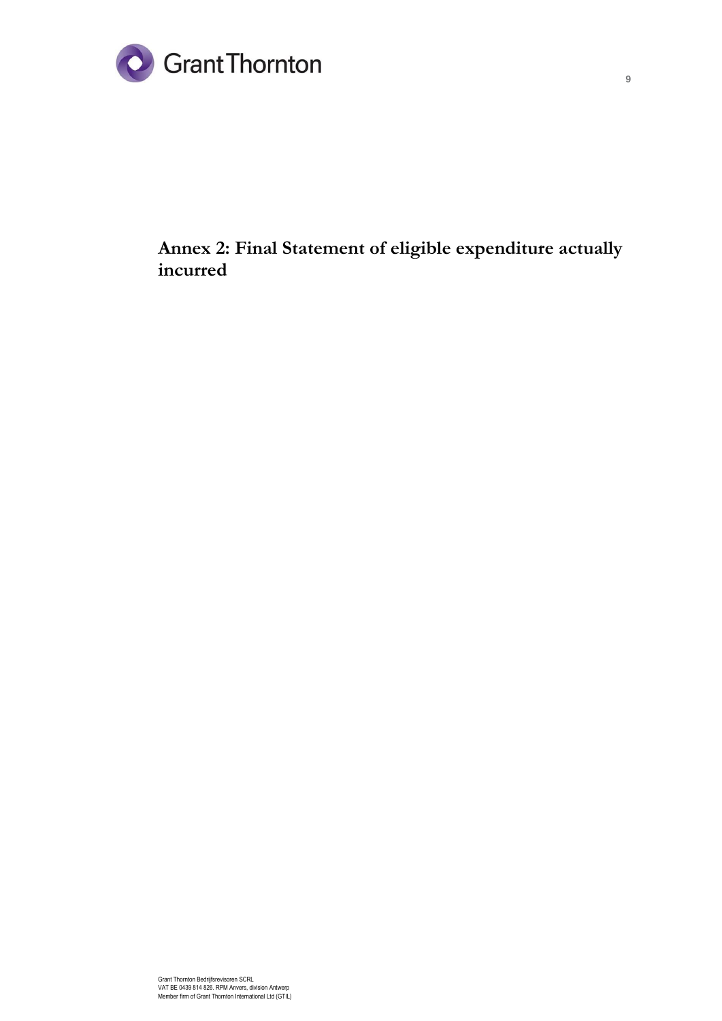

**Annex 2: Final Statement of eligible expenditure actually incurred**